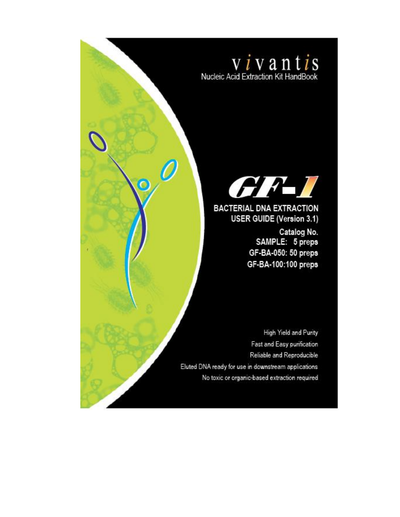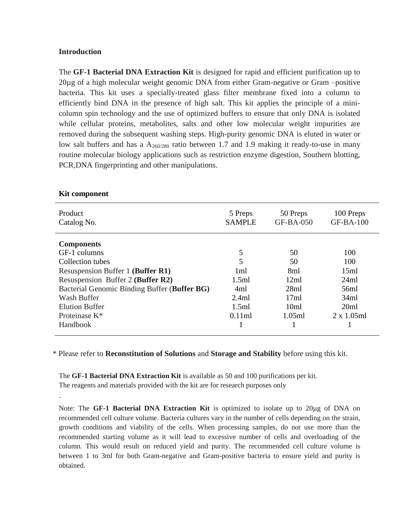#### **Introduction**

The **GF-1 Bacterial DNA Extraction Kit** is designed for rapid and efficient purification up to 20µg of a high molecular weight genomic DNA from either Gram-negative or Gram –positive bacteria. This kit uses a specially-treated glass filter membrane fixed into a column to efficiently bind DNA in the presence of high salt. This kit applies the principle of a minicolumn spin technology and the use of optimized buffers to ensure that only DNA is isolated while cellular proteins, metabolites, salts and other low molecular weight impurities are removed during the subsequent washing steps. High-purity genomic DNA is eluted in water or low salt buffers and has a  $A_{260/280}$  ratio between 1.7 and 1.9 making it ready-to-use in many routine molecular biology applications such as restriction enzyme digestion, Southern blotting, PCR,DNA fingerprinting and other manipulations.

| Product<br>Catalog No.                       | 5 Preps<br><b>SAMPLE</b> | 50 Preps<br>GF-BA-050 | 100 Preps<br><b>GF-BA-100</b> |
|----------------------------------------------|--------------------------|-----------------------|-------------------------------|
| <b>Components</b>                            |                          |                       |                               |
| GF-1 columns                                 | 5                        | 50                    | 100                           |
| Collection tubes                             | 5                        | 50                    | 100                           |
| Resuspension Buffer 1 (Buffer R1)            | 1 <sub>ml</sub>          | 8ml                   | 15ml                          |
| Resuspension Buffer 2 (Buffer R2)            | 1.5ml                    | 12ml                  | 24ml                          |
| Bacterial Genomic Binding Buffer (Buffer BG) | 4ml                      | 28ml                  | 56ml                          |
| Wash Buffer                                  | 2.4ml                    | 17ml                  | 34ml                          |
| <b>Elution Buffer</b>                        | 1.5ml                    | 10 <sub>m1</sub>      | 20ml                          |
| Proteinase K <sup>*</sup>                    | 0.11ml                   | 1.05ml                | $2 \times 1.05$ ml            |
| Handbook                                     |                          |                       |                               |

#### **Kit component**

.

\* Please refer to **Reconstitution of Solutions** and **Storage and Stability** before using this kit.

The **GF-1 Bacterial DNA Extraction Kit** is available as 50 and 100 purifications per kit. The reagents and materials provided with the kit are for research purposes only

Note: The **GF-1 Bacterial DNA Extraction Kit** is optimized to isolate up to 20µg of DNA on recommended cell culture volume. Bacteria cultures vary in the number of cells depending on the strain, growth conditions and viability of the cells. When processing samples, do not use more than the recommended starting volume as it will lead to excessive number of cells and overloading of the column. This would result on reduced yield and purity. The recommended cell culture volume is between 1 to 3ml for both Gram-negative and Gram-positive bacteria to ensure yield and purity is obtained.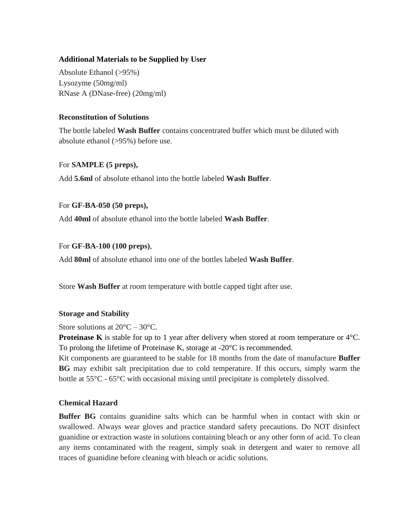#### **Additional Materials to be Supplied by User**

Absolute Ethanol (>95%) Lysozyme (50mg/ml) RNase A (DNase-free) (20mg/ml)

#### **Reconstitution of Solutions**

The bottle labeled **Wash Buffer** contains concentrated buffer which must be diluted with absolute ethanol (>95%) before use.

#### For **SAMPLE (5 preps),**

Add **5.6ml** of absolute ethanol into the bottle labeled **Wash Buffer**.

#### For **GF-BA-050 (50 preps),**

Add **40ml** of absolute ethanol into the bottle labeled **Wash Buffer**.

#### For **GF-BA-100 (100 preps)**,

Add **80ml** of absolute ethanol into one of the bottles labeled **Wash Buffer**.

Store **Wash Buffer** at room temperature with bottle capped tight after use.

#### **Storage and Stability**

Store solutions at  $20^{\circ}$ C –  $30^{\circ}$ C.

**Proteinase K** is stable for up to 1 year after delivery when stored at room temperature or  $4^{\circ}$ C. To prolong the lifetime of Proteinase K, storage at -20°C is recommended.

Kit components are guaranteed to be stable for 18 months from the date of manufacture **Buffer BG** may exhibit salt precipitation due to cold temperature. If this occurs, simply warm the bottle at 55°C - 65°C with occasional mixing until precipitate is completely dissolved.

#### **Chemical Hazard**

**Buffer BG** contains guanidine salts which can be harmful when in contact with skin or swallowed. Always wear gloves and practice standard safety precautions. Do NOT disinfect guanidine or extraction waste in solutions containing bleach or any other form of acid. To clean any items contaminated with the reagent, simply soak in detergent and water to remove all traces of guanidine before cleaning with bleach or acidic solutions.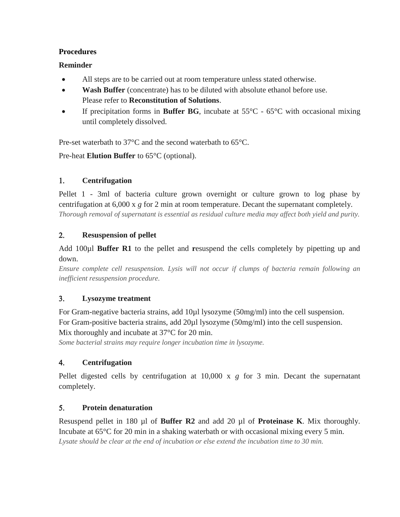#### **Procedures**

# **Reminder**

- All steps are to be carried out at room temperature unless stated otherwise.
- **Wash Buffer** (concentrate) has to be diluted with absolute ethanol before use. Please refer to **Reconstitution of Solutions**.
- If precipitation forms in **Buffer BG**, incubate at 55°C 65°C with occasional mixing until completely dissolved.

Pre-set waterbath to 37°C and the second waterbath to 65°C.

Pre-heat **Elution Buffer** to 65°C (optional).

# **Centrifugation**

Pellet 1 - 3ml of bacteria culture grown overnight or culture grown to log phase by centrifugation at 6,000 x *g* for 2 min at room temperature. Decant the supernatant completely. *Thorough removal of supernatant is essential as residual culture media may affect both yield and purity.*

# **Resuspension of pellet**

Add 100µl **Buffer R1** to the pellet and **r**esuspend the cells completely by pipetting up and down.

*Ensure complete cell resuspension. Lysis will not occur if clumps of bacteria remain following an inefficient resuspension procedure.*

# **Lysozyme treatment**

For Gram-negative bacteria strains, add 10µl lysozyme (50mg/ml) into the cell suspension. For Gram-positive bacteria strains, add 20µl lysozyme (50mg/ml) into the cell suspension. Mix thoroughly and incubate at 37°C for 20 min.

*Some bacterial strains may require longer incubation time in lysozyme.*

# **Centrifugation**

Pellet digested cells by centrifugation at 10,000 x *g* for 3 min. Decant the supernatant completely.

# **Protein denaturation**

Resuspend pellet in 180 µl of **Buffer R2** and add 20 µl of **Proteinase K**. Mix thoroughly. Incubate at 65°C for 20 min in a shaking waterbath or with occasional mixing every 5 min. *Lysate should be clear at the end of incubation or else extend the incubation time to 30 min.*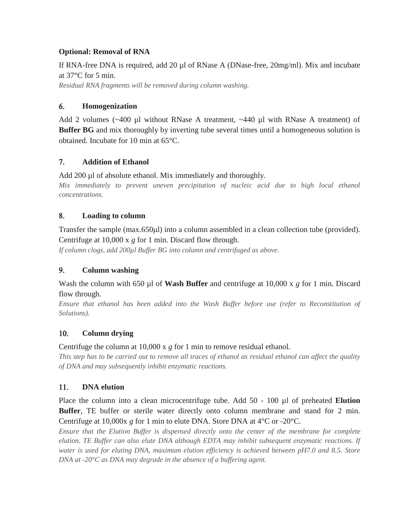# **Optional: Removal of RNA**

If RNA-free DNA is required, add 20  $\mu$ l of RNase A (DNase-free, 20mg/ml). Mix and incubate at 37°C for 5 min.

*Residual RNA fragments will be removed during column washing.*

#### **Homogenization**

Add 2 volumes  $(\sim 400 \text{ µl without RNase A treatment}, \sim 440 \text{ µl with RNase A treatment})$  of **Buffer BG** and mix thoroughly by inverting tube several times until a homogeneous solution is obtained. Incubate for 10 min at 65°C.

# **Addition of Ethanol**

Add 200 µl of absolute ethanol. Mix immediately and thoroughly.

*Mix immediately to prevent uneven precipitation of nucleic acid due to high local ethanol concentrations.*

#### **Loading to column**

Transfer the sample (max.650µl) into a column assembled in a clean collection tube (provided). Centrifuge at 10,000 x *g* for 1 min. Discard flow through.

*If column clogs, add 200µl Buffer BG into column and centrifuged as above.*

# **Column washing**

Wash the column with 650 µl of **Wash Buffer** and centrifuge at 10,000 x *g* for 1 min. Discard flow through.

*Ensure that ethanol has been added into the Wash Buffer before use (refer to Reconstitution of Solutions).*

# **Column drying**

Centrifuge the column at 10,000 x *g* for 1 min to remove residual ethanol.

*This step has to be carried out to remove all traces of ethanol as residual ethanol can affect the quality of DNA and may subsequently inhibit enzymatic reactions.*

# **DNA elution**

Place the column into a clean microcentrifuge tube. Add 50 - 100 µl of preheated **Elution Buffer**, TE buffer or sterile water directly onto column membrane and stand for 2 min. Centrifuge at 10,000x *g* for 1 min to elute DNA. Store DNA at 4°C or -20°C.

*Ensure that the Elution Buffer is dispensed directly onto the center of the membrane for complete elution. TE Buffer can also elute DNA although EDTA may inhibit subsequent enzymatic reactions. If water is used for eluting DNA, maximum elution efficiency is achieved between pH7.0 and 8.5. Store DNA at -20°C as DNA may degrade in the absence of a buffering agent.*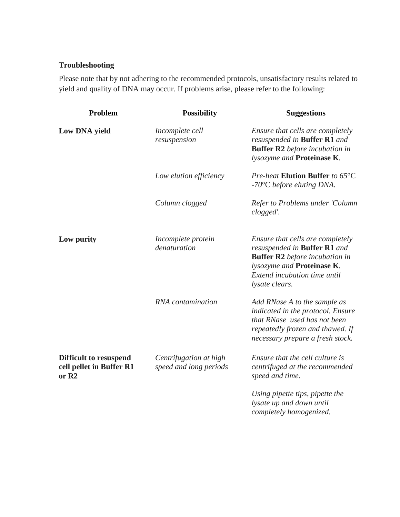#### **Troubleshooting**

Please note that by not adhering to the recommended protocols, unsatisfactory results related to yield and quality of DNA may occur. If problems arise, please refer to the following:

| Problem                                                                        | <b>Possibility</b>                               | <b>Suggestions</b>                                                                                                                                                                               |
|--------------------------------------------------------------------------------|--------------------------------------------------|--------------------------------------------------------------------------------------------------------------------------------------------------------------------------------------------------|
| <b>Low DNA yield</b>                                                           | Incomplete cell<br>resuspension                  | Ensure that cells are completely<br>resuspended in <b>Buffer R1</b> and<br><b>Buffer R2</b> before incubation in<br>lysozyme and Proteinase K.                                                   |
|                                                                                | Low elution efficiency                           | Pre-heat Elution Buffer to 65°C<br>$-70^{\circ}$ C before eluting DNA.                                                                                                                           |
|                                                                                | Column clogged                                   | Refer to Problems under 'Column<br>clogged'.                                                                                                                                                     |
| Low purity                                                                     | Incomplete protein<br>denaturation               | Ensure that cells are completely<br>resuspended in <b>Buffer R1</b> and<br><b>Buffer R2</b> before incubation in<br>lysozyme and Proteinase K.<br>Extend incubation time until<br>lysate clears. |
|                                                                                | RNA contamination                                | Add RNase A to the sample as<br>indicated in the protocol. Ensure<br>that RNase used has not been<br>repeatedly frozen and thawed. If<br>necessary prepare a fresh stock.                        |
| <b>Difficult to resuspend</b><br>cell pellet in Buffer R1<br>or R <sub>2</sub> | Centrifugation at high<br>speed and long periods | Ensure that the cell culture is<br>centrifuged at the recommended<br>speed and time.                                                                                                             |
|                                                                                |                                                  | Using pipette tips, pipette the<br>lysate up and down until<br>completely homogenized.                                                                                                           |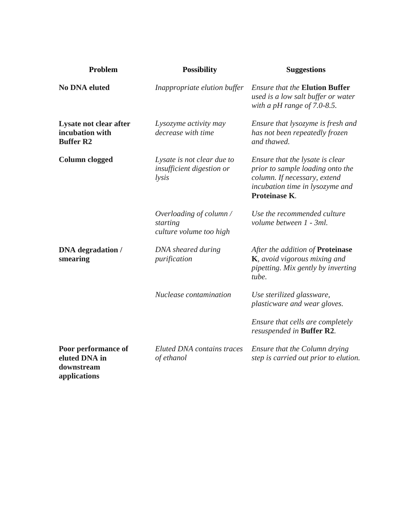| Problem                                                            | <b>Possibility</b>                                               | <b>Suggestions</b>                                                                                                                                      |
|--------------------------------------------------------------------|------------------------------------------------------------------|---------------------------------------------------------------------------------------------------------------------------------------------------------|
| <b>No DNA eluted</b>                                               | Inappropriate elution buffer                                     | <b>Ensure that the Elution Buffer</b><br>used is a low salt buffer or water<br>with a pH range of $7.0$ -8.5.                                           |
| Lysate not clear after<br>incubation with<br><b>Buffer R2</b>      | Lysozyme activity may<br>decrease with time                      | Ensure that lysozyme is fresh and<br>has not been repeatedly frozen<br>and thawed.                                                                      |
| <b>Column clogged</b>                                              | Lysate is not clear due to<br>insufficient digestion or<br>lysis | Ensure that the lysate is clear<br>prior to sample loading onto the<br>column. If necessary, extend<br>incubation time in lysozyme and<br>Proteinase K. |
|                                                                    | Overloading of column /<br>starting<br>culture volume too high   | Use the recommended culture<br>volume between 1 - 3ml.                                                                                                  |
| <b>DNA</b> degradation /<br>smearing                               | DNA sheared during<br>purification                               | After the addition of Proteinase<br>K, avoid vigorous mixing and<br>pipetting. Mix gently by inverting<br>tube.                                         |
|                                                                    | Nuclease contamination                                           | Use sterilized glassware,<br>plasticware and wear gloves.                                                                                               |
|                                                                    |                                                                  | Ensure that cells are completely<br>resuspended in Buffer R2.                                                                                           |
| Poor performance of<br>eluted DNA in<br>downstream<br>applications | Eluted DNA contains traces<br>of ethanol                         | Ensure that the Column drying<br>step is carried out prior to elution.                                                                                  |